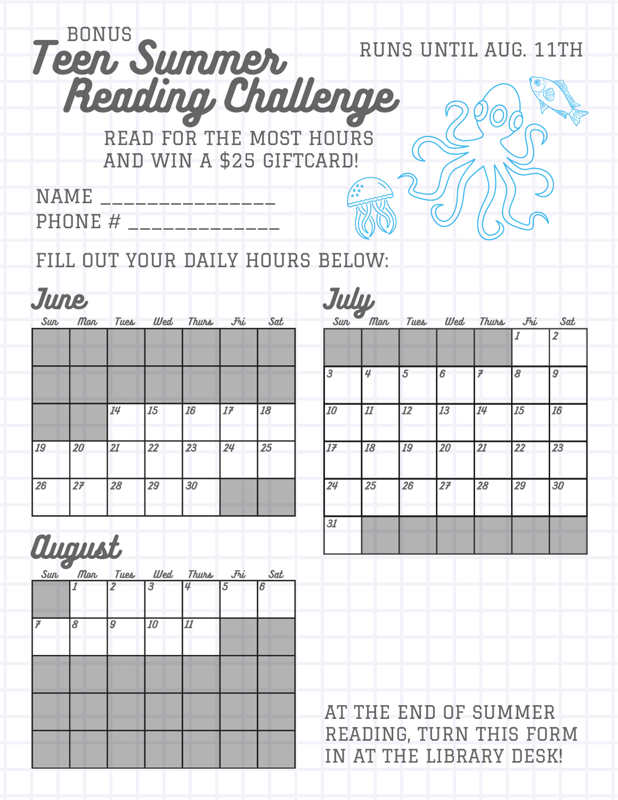## Teen Summer Reading Challenge READ FOR THE MOST HOURS BONUS AND WIN A \$25 GIFTCARD! NAME \_\_\_\_\_\_\_\_\_\_\_\_\_\_\_ RUNS UNTIL AUG. 11TH

FILL OUT YOUR DAILY HOURS BELOW:

PHONE # \_\_\_\_\_\_\_\_\_\_\_\_\_\_

| June<br><b>Sun</b> | Mon | Tues | Wed | Thurs | $F_{\bm{b}}$ | Sat | July | Mon | Tues | Wed | Thurs | Fri |
|--------------------|-----|------|-----|-------|--------------|-----|------|-----|------|-----|-------|-----|
|                    |     |      |     |       |              |     |      |     |      |     |       |     |
|                    |     |      |     |       |              |     | 3    | 4   | 5    | 6   | 7     | 8   |
|                    |     | 14   | 15  | 16    | 17           | 18  | 10   | 11  | 12   | 13  | 14    | 15  |
| 19                 | 20  | 21   | 22  | 23    | 24           | 25  | 17   | 18  | 19   | 20  | 21    | 22  |
| 26                 | 27  | 28   | 29  | 30    |              |     | 24   | 25  | 26   | 27  | 28    | 29  |
|                    |     |      |     |       |              |     | 31   |     |      |     |       |     |



AT THE END OF SUMMER READING, TURN THIS FORM IN AT THE LIBRARY DESK!

**Sat**